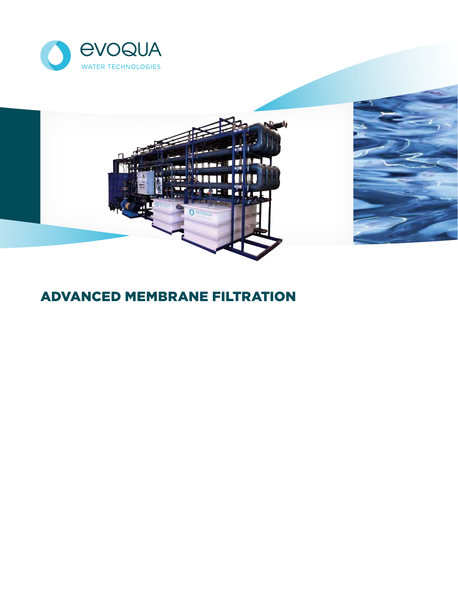



# ADVANCED MEMBRANE FILTRATION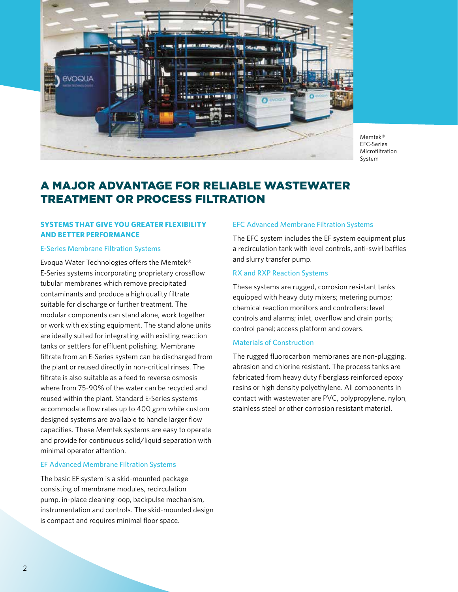

Memtek® EFC-Series Microfiltration System

# A MAJOR ADVANTAGE FOR RELIABLE WASTEWATER TREATMENT OR PROCESS FILTRATION

# **SYSTEMS THAT GIVE YOU GREATER FLEXIBILITY AND BETTER PERFORMANCE**

# E-Series Membrane Filtration Systems

Evoqua Water Technologies offers the Memtek® E-Series systems incorporating proprietary crossflow tubular membranes which remove precipitated contaminants and produce a high quality filtrate suitable for discharge or further treatment. The modular components can stand alone, work together or work with existing equipment. The stand alone units are ideally suited for integrating with existing reaction tanks or settlers for effluent polishing. Membrane filtrate from an E-Series system can be discharged from the plant or reused directly in non-critical rinses. The filtrate is also suitable as a feed to reverse osmosis where from 75-90% of the water can be recycled and reused within the plant. Standard E-Series systems accommodate flow rates up to 400 gpm while custom designed systems are available to handle larger flow capacities. These Memtek systems are easy to operate and provide for continuous solid/liquid separation with minimal operator attention.

# EF Advanced Membrane Filtration Systems

The basic EF system is a skid-mounted package consisting of membrane modules, recirculation pump, in-place cleaning loop, backpulse mechanism, instrumentation and controls. The skid-mounted design is compact and requires minimal floor space.

# EFC Advanced Membrane Filtration Systems

The EFC system includes the EF system equipment plus a recirculation tank with level controls, anti-swirl baffles and slurry transfer pump.

# RX and RXP Reaction Systems

These systems are rugged, corrosion resistant tanks equipped with heavy duty mixers; metering pumps; chemical reaction monitors and controllers; level controls and alarms; inlet, overflow and drain ports; control panel; access platform and covers.

## Materials of Construction

The rugged fluorocarbon membranes are non-plugging, abrasion and chlorine resistant. The process tanks are fabricated from heavy duty fiberglass reinforced epoxy resins or high density polyethylene. All components in contact with wastewater are PVC, polypropylene, nylon, stainless steel or other corrosion resistant material.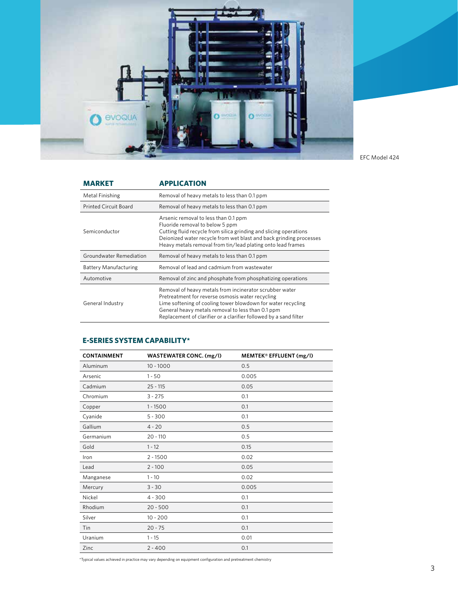

EFC Model 424

| <b>MARKET</b>                | <b>APPLICATION</b>                                                                                                                                                                                                                                                                |  |  |  |  |
|------------------------------|-----------------------------------------------------------------------------------------------------------------------------------------------------------------------------------------------------------------------------------------------------------------------------------|--|--|--|--|
| Metal Finishing              | Removal of heavy metals to less than 0.1 ppm                                                                                                                                                                                                                                      |  |  |  |  |
| <b>Printed Circuit Board</b> | Removal of heavy metals to less than 0.1 ppm                                                                                                                                                                                                                                      |  |  |  |  |
| Semiconductor                | Arsenic removal to less than 0.1 ppm<br>Fluoride removal to below 5 ppm<br>Cutting fluid recycle from silica grinding and slicing operations<br>Deionized water recycle from wet blast and back grinding processes<br>Heavy metals removal from tin/lead plating onto lead frames |  |  |  |  |
| Groundwater Remediation      | Removal of heavy metals to less than 0.1 ppm                                                                                                                                                                                                                                      |  |  |  |  |
| <b>Battery Manufacturing</b> | Removal of lead and cadmium from wastewater                                                                                                                                                                                                                                       |  |  |  |  |
| Automotive                   | Removal of zinc and phosphate from phosphatizing operations                                                                                                                                                                                                                       |  |  |  |  |
| General Industry             | Removal of heavy metals from incinerator scrubber water<br>Pretreatment for reverse osmosis water recycling<br>Lime softening of cooling tower blowdown for water recycling                                                                                                       |  |  |  |  |

# **E-SERIES SYSTEM CAPABILITY\***

| <b>CONTAINMENT</b> | WASTEWATER CONC. (mg/l) | MEMTEK® EFFLUENT (mg/l) |  |  |  |
|--------------------|-------------------------|-------------------------|--|--|--|
| Aluminum           | $10 - 1000$             | 0.5                     |  |  |  |
| Arsenic            | $1 - 50$                | 0.005                   |  |  |  |
| Cadmium            | $25 - 115$              | 0.05                    |  |  |  |
| Chromium           | $3 - 275$               | 0.1                     |  |  |  |
| Copper             | $1 - 1500$              | 0.1                     |  |  |  |
| Cyanide            | $5 - 300$               | 0.1                     |  |  |  |
| Gallium            | $4 - 20$                | 0.5                     |  |  |  |
| Germanium          | $20 - 110$              | 0.5                     |  |  |  |
| Gold               | $1 - 12$                | 0.15                    |  |  |  |
| Iron               | $2 - 1500$              | 0.02                    |  |  |  |
| Lead               | $2 - 100$               | 0.05                    |  |  |  |
| Manganese          | $1 - 10$                | 0.02                    |  |  |  |
| Mercury            | $3 - 30$                | 0.005                   |  |  |  |
| Nickel             | $4 - 300$               | 0.1                     |  |  |  |
| Rhodium            | $20 - 500$              | 0.1                     |  |  |  |
| Silver             | $10 - 200$              | 0.1                     |  |  |  |
| Tin                | $20 - 75$               | 0.1                     |  |  |  |
| Uranium            | $1 - 15$                | 0.01                    |  |  |  |
| Zinc               | $2 - 400$               | 0.1                     |  |  |  |

\*Typical values achieved in practice may vary depending on equipment configuration and pretreatment chemistry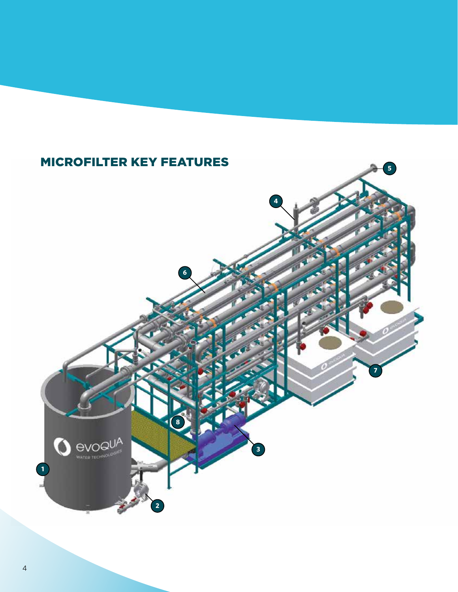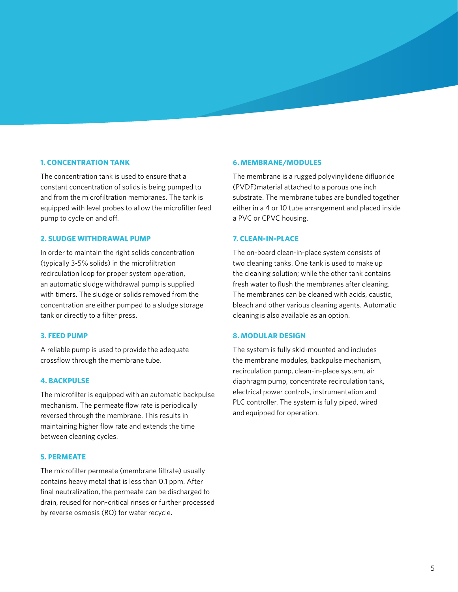#### **1. CONCENTRATION TANK**

The concentration tank is used to ensure that a constant concentration of solids is being pumped to and from the microfiltration membranes. The tank is equipped with level probes to allow the microfilter feed pump to cycle on and off.

#### **2. SLUDGE WITHDRAWAL PUMP**

In order to maintain the right solids concentration (typically 3-5% solids) in the microfiltration recirculation loop for proper system operation, an automatic sludge withdrawal pump is supplied with timers. The sludge or solids removed from the concentration are either pumped to a sludge storage tank or directly to a filter press.

#### **3. FEED PUMP**

A reliable pump is used to provide the adequate crossflow through the membrane tube.

# **4. BACKPULSE**

The microfilter is equipped with an automatic backpulse mechanism. The permeate flow rate is periodically reversed through the membrane. This results in maintaining higher flow rate and extends the time between cleaning cycles.

#### **5. PERMEATE**

The microfilter permeate (membrane filtrate) usually contains heavy metal that is less than 0.1 ppm. After final neutralization, the permeate can be discharged to drain, reused for non-critical rinses or further processed by reverse osmosis (RO) for water recycle.

#### **6. MEMBRANE/MODULES**

The membrane is a rugged polyvinylidene difluoride (PVDF)material attached to a porous one inch substrate. The membrane tubes are bundled together either in a 4 or 10 tube arrangement and placed inside a PVC or CPVC housing.

#### **7. CLEAN-IN-PLACE**

The on-board clean-in-place system consists of two cleaning tanks. One tank is used to make up the cleaning solution; while the other tank contains fresh water to flush the membranes after cleaning. The membranes can be cleaned with acids, caustic, bleach and other various cleaning agents. Automatic cleaning is also available as an option.

#### **8. MODULAR DESIGN**

The system is fully skid-mounted and includes the membrane modules, backpulse mechanism, recirculation pump, clean-in-place system, air diaphragm pump, concentrate recirculation tank, electrical power controls, instrumentation and PLC controller. The system is fully piped, wired and equipped for operation.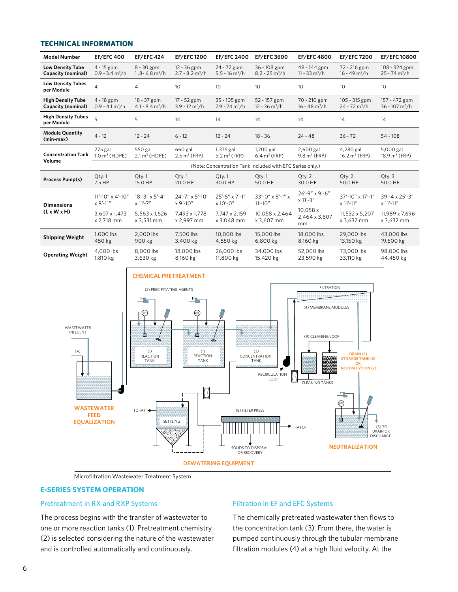# **TECHNICAL INFORMATION**

| <b>Model Number</b>                            | <b>EF/EFC 400</b>                                         | <b>EF/EFC 424</b>                             | <b>EF/EFC1200</b>                              | <b>EF/EFC 2400</b>                          | <b>EF/EFC 3600</b>                           | <b>EF/EFC 4800</b>                          | <b>EF/EFC 7200</b>                           | <b>EF/EFC10800</b>                            |
|------------------------------------------------|-----------------------------------------------------------|-----------------------------------------------|------------------------------------------------|---------------------------------------------|----------------------------------------------|---------------------------------------------|----------------------------------------------|-----------------------------------------------|
| <b>Low Density Tube</b><br>Capacity (nominal)  | $4 - 15$ gpm<br>$0.9 - 3.4$ m <sup>3</sup> /h             | $8 - 30$ gpm<br>$1.8 - 6.8$ m <sup>3</sup> /h | $12 - 36$ gpm<br>$2.7 - 8.2$ m <sup>3</sup> /h | 24 - 72 gpm<br>$5.5 - 16$ m <sup>3</sup> /h | 36 - 108 gpm<br>$8.2 - 25$ m <sup>3</sup> /h | 48 - 144 gpm<br>$11 - 33$ m <sup>3</sup> /h | 72 - 216 gpm<br>$16 - 49$ m <sup>3</sup> /h  | 108 - 324 gpm<br>$25 - 74$ m <sup>3</sup> /h  |
| <b>Low Density Tubes</b><br>per Module         | $\overline{4}$                                            | 4                                             | 10 <sup>2</sup>                                | 10 <sup>2</sup>                             | 10                                           | 10                                          | 10                                           | 10                                            |
| <b>High Density Tube</b><br>Capacity (nominal) | 4 - 18 gpm<br>$0.9 - 4.1 \,\mathrm{m}^3/\mathrm{h}$       | 18 - 37 gpm<br>$4.1 - 8.4 m3/h$               | 17 - 52 gpm<br>$3.9 - 12 \text{ m}^3/\text{h}$ | 35 - 105 gpm<br>$7.9 - 24 m3/h$             | 52 - 157 gpm<br>$12 - 36$ m <sup>3</sup> /h  | 70 - 210 gpm<br>$16 - 48$ m <sup>3</sup> /h | 105 - 315 gpm<br>$24 - 72$ m <sup>3</sup> /h | 157 - 472 gpm<br>$36 - 107$ m <sup>3</sup> /h |
| <b>High Density Tubes</b><br>per Module        | 5                                                         | 5                                             | 14                                             | 14                                          | 14                                           | 14                                          | 14                                           | 14                                            |
| <b>Module Quantity</b><br>(min-max)            | $4 - 12$                                                  | $12 - 24$                                     | $6 - 12$                                       | $12 - 24$                                   | $18 - 36$                                    | $24 - 48$                                   | $36 - 72$                                    | $54 - 108$                                    |
| <b>Concentration Tank</b><br>Volume            | $275$ gal<br>$1.0 \text{ m}^3$ (HDPE)                     | 550 gal<br>$2.1 m3$ (HDPE)                    | 660 gal<br>$2.5 \text{ m}^3$ (FRP)             | 1,375 gal<br>$5.2 m3$ (FRP)                 | 1,700 gal<br>$6.4 \text{ m}^3$ (FRP)         | 2,600 gal<br>$9.8 \text{ m}^3$ (FRP)        | 4,280 gal<br>$16.2 \text{ m}^3$ (FRP)        | 5,000 gal<br>18.9 m <sup>3</sup> (FRP)        |
|                                                | (Note: Concentration Tank Included with EFC Series only.) |                                               |                                                |                                             |                                              |                                             |                                              |                                               |
| Process Pump(s)                                | Qty.1<br>7.5 HP                                           | Oty.1<br>15.0 HP                              | Qty.1<br>20.0 HP                               | Oty.1<br>30.0 HP                            | Oty.1<br>50.0 HP                             | Oty. 2<br>30.0 HP                           | Qty. 2<br>50.0 HP                            | $Q$ ty. $3$<br>50.0 HP                        |
| <b>Dimensions</b><br>$(L \times W \times H)$   | 11'-10" x 4'-10"<br>$x 8' - 11''$                         | 18'-3" x 5'-4"<br>$x 11' - 7''$               | 24'-7" x 5'-10"<br>$x 9' - 10''$               | 25'-5" x 7'-1"<br>$x 10' - 0''$             | 33'-0" x 8'-1" x<br>$11' - 10''$             | 26'-9" x 9'-6"<br>x 11'-3"                  | 37'-10" x 17'-1"<br>x 11'-11"                | 39'-4 x 25'-3"<br>x 11'-11"                   |
|                                                | 3,607 x 1,473<br>x 2,718 mm                               | 5,563 x 1,626<br>x 3,531 mm                   | 7,493 x 1,778<br>x 2,997 mm                    | 7,747 x 2,159<br>x 3,048 mm                 | 10,058 x 2,464<br>x 3,607 mm                 | 10,058x<br>2,464 x 3,607<br>mm              | 11,532 x 5,207<br>x 3,632 mm                 | 11,989 x 7,696<br>x 3,632 mm                  |
| <b>Shipping Weight</b>                         | 1.000 lbs<br>450 kg                                       | 2.000 lbs<br>900 kg                           | 7.500 lbs<br>3,400 kg                          | 10,000 lbs<br>4,550 kg                      | 15,000 lbs<br>6,800 kg                       | 18,000 lbs<br>8,160 kg                      | 29.000 lbs<br>13,150 kg                      | 43,000 lbs<br>19,500 kg                       |
| <b>Operating Weight</b>                        | 4,000 lbs<br>1,810 kg                                     | 8,000 lbs<br>3,630 kg                         | 18,000 lbs<br>8,160 kg                         | 26,000 lbs<br>11,800 kg                     | 34,000 lbs<br>15,420 kg                      | 52,000 lbs<br>23,590 kg                     | 73,000 lbs<br>33,110 kg                      | 98,000 lbs<br>44,450 kg                       |



**Microfiltration Wastewater Treatment System** 

# **E-SERIES SYSTEM OPERATION**

#### Pretreatment in RX and RXP Systems

The process begins with the transfer of wastewater to one or more reaction tanks (1). Pretreatment chemistry (2) is selected considering the nature of the wastewater and is controlled automatically and continuously.

# Filtration in EF and EFC Systems

The chemically pretreated wastewater then flows to the concentration tank (3). From there, the water is pumped continuously through the tubular membrane filtration modules (4) at a high fluid velocity. At the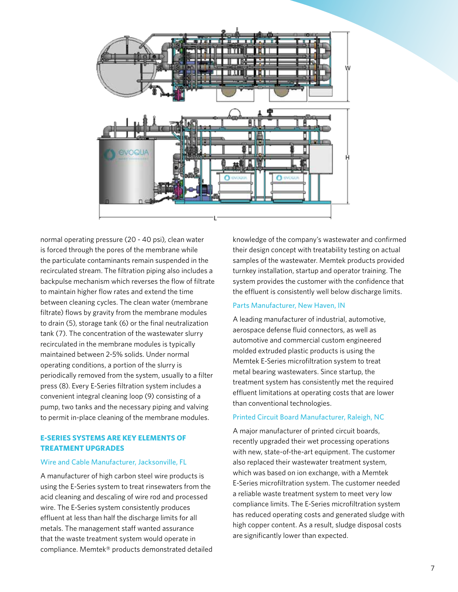

normal operating pressure (20 - 40 psi), clean water is forced through the pores of the membrane while the particulate contaminants remain suspended in the recirculated stream. The filtration piping also includes a backpulse mechanism which reverses the flow of filtrate to maintain higher flow rates and extend the time between cleaning cycles. The clean water (membrane filtrate) flows by gravity from the membrane modules to drain (5), storage tank (6) or the final neutralization tank (7). The concentration of the wastewater slurry recirculated in the membrane modules is typically maintained between 2-5% solids. Under normal operating conditions, a portion of the slurry is periodically removed from the system, usually to a filter press (8). Every E-Series filtration system includes a convenient integral cleaning loop (9) consisting of a pump, two tanks and the necessary piping and valving to permit in-place cleaning of the membrane modules.

# **E-SERIES SYSTEMS ARE KEY ELEMENTS OF TREATMENT UPGRADES**

#### Wire and Cable Manufacturer, Jacksonville, FL

A manufacturer of high carbon steel wire products is using the E-Series system to treat rinsewaters from the acid cleaning and descaling of wire rod and processed wire. The E-Series system consistently produces effluent at less than half the discharge limits for all metals. The management staff wanted assurance that the waste treatment system would operate in compliance. Memtek® products demonstrated detailed

knowledge of the company's wastewater and confirmed their design concept with treatability testing on actual samples of the wastewater. Memtek products provided turnkey installation, startup and operator training. The system provides the customer with the confidence that the effluent is consistently well below discharge limits.

#### Parts Manufacturer, New Haven, IN

A leading manufacturer of industrial, automotive, aerospace defense fluid connectors, as well as automotive and commercial custom engineered molded extruded plastic products is using the Memtek E-Series microfiltration system to treat metal bearing wastewaters. Since startup, the treatment system has consistently met the required effluent limitations at operating costs that are lower than conventional technologies.

#### Printed Circuit Board Manufacturer, Raleigh, NC

A major manufacturer of printed circuit boards, recently upgraded their wet processing operations with new, state-of-the-art equipment. The customer also replaced their wastewater treatment system, which was based on ion exchange, with a Memtek E-Series microfiltration system. The customer needed a reliable waste treatment system to meet very low compliance limits. The E-Series microfiltration system has reduced operating costs and generated sludge with high copper content. As a result, sludge disposal costs are significantly lower than expected.